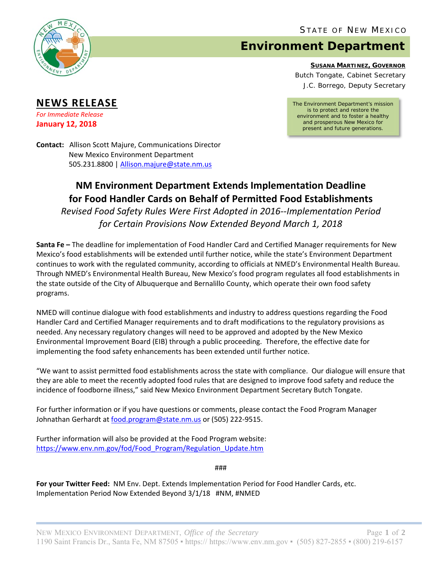

**NEWS RELEASE** *For Immediate Release* **January 12, 2018**

## **Environment Department**

**SUSANA MARTINEZ, GOVERNOR**

Butch Tongate, Cabinet Secretary J.C. Borrego, Deputy Secretary

*The Environment Department's mission is to protect and restore the environment and to foster a healthy and prosperous New Mexico for present and future generations.* 

**Contact:** Allison Scott Majure, Communications Director New Mexico Environment Department 505.231.8800 | Allison.majure@state.nm.us

## **NM Environment Department Extends Implementation Deadline for Food Handler Cards on Behalf of Permitted Food Establishments**

*Revised Food Safety Rules Were First Adopted in 2016‐‐Implementation Period for Certain Provisions Now Extended Beyond March 1, 2018* 

**Santa Fe –** The deadline for implementation of Food Handler Card and Certified Manager requirements for New Mexico's food establishments will be extended until further notice, while the state's Environment Department continues to work with the regulated community, according to officials at NMED's Environmental Health Bureau. Through NMED's Environmental Health Bureau, New Mexico's food program regulates all food establishments in the state outside of the City of Albuquerque and Bernalillo County, which operate their own food safety programs.

NMED will continue dialogue with food establishments and industry to address questions regarding the Food Handler Card and Certified Manager requirements and to draft modifications to the regulatory provisions as needed. Any necessary regulatory changes will need to be approved and adopted by the New Mexico Environmental Improvement Board (EIB) through a public proceeding. Therefore, the effective date for implementing the food safety enhancements has been extended until further notice.

"We want to assist permitted food establishments across the state with compliance. Our dialogue will ensure that they are able to meet the recently adopted food rules that are designed to improve food safety and reduce the incidence of foodborne illness," said New Mexico Environment Department Secretary Butch Tongate.

For further information or if you have questions or comments, please contact the Food Program Manager Johnathan Gerhardt at food.program@state.nm.us or (505) 222-9515.

Further information will also be provided at the Food Program website: https://www.env.nm.gov/fod/Food\_Program/Regulation\_Update.htm

###

**For your Twitter Feed:** NM Env. Dept. Extends Implementation Period for Food Handler Cards, etc. Implementation Period Now Extended Beyond 3/1/18 #NM, #NMED